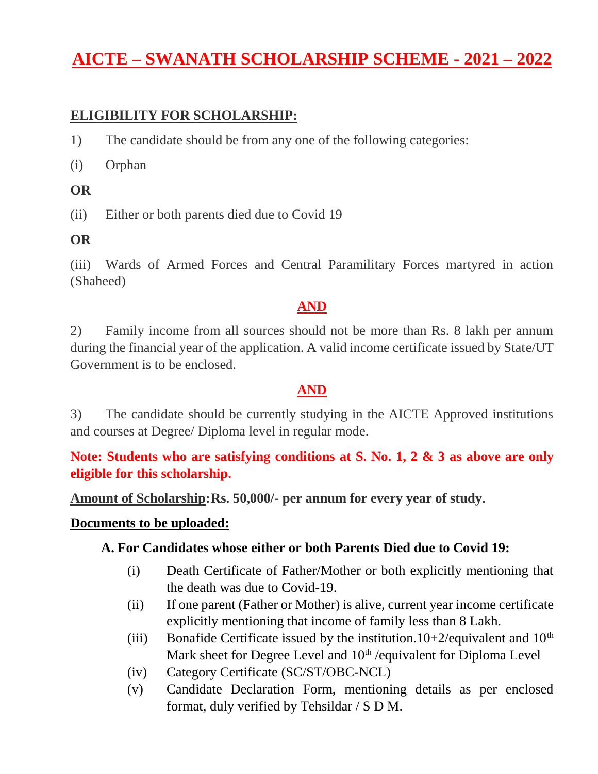# **AICTE – SWANATH SCHOLARSHIP SCHEME - 2021 – 2022**

#### **ELIGIBILITY FOR SCHOLARSHIP:**

- 1) The candidate should be from any one of the following categories:
- (i) Orphan

#### **OR**

(ii) Either or both parents died due to Covid 19

#### **OR**

(iii) Wards of Armed Forces and Central Paramilitary Forces martyred in action (Shaheed)

#### **AND**

2) Family income from all sources should not be more than Rs. 8 lakh per annum during the financial year of the application. A valid income certificate issued by State/UT Government is to be enclosed.

#### **AND**

3) The candidate should be currently studying in the AICTE Approved institutions and courses at Degree/ Diploma level in regular mode.

**Note: Students who are satisfying conditions at S. No. 1, 2 & 3 as above are only eligible for this scholarship.**

**Amount of Scholarship:Rs. 50,000/- per annum for every year of study.**

#### **Documents to be uploaded:**

#### **A. For Candidates whose either or both Parents Died due to Covid 19:**

- (i) Death Certificate of Father/Mother or both explicitly mentioning that the death was due to Covid-19.
- (ii) If one parent (Father or Mother) is alive, current year income certificate explicitly mentioning that income of family less than 8 Lakh.
- (iii) Bonafide Certificate issued by the institution.10+2/equivalent and  $10<sup>th</sup>$ Mark sheet for Degree Level and  $10^{th}$ /equivalent for Diploma Level
- (iv) Category Certificate (SC/ST/OBC-NCL)
- (v) Candidate Declaration Form, mentioning details as per enclosed format, duly verified by Tehsildar / S D M.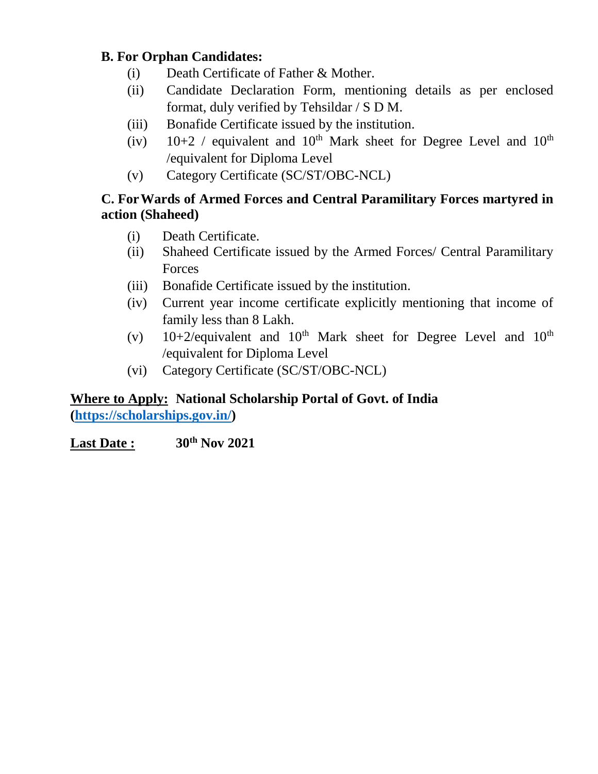#### **B. For Orphan Candidates:**

- (i) Death Certificate of Father & Mother.
- (ii) Candidate Declaration Form, mentioning details as per enclosed format, duly verified by Tehsildar / S D M.
- (iii) Bonafide Certificate issued by the institution.
- (iv)  $10+2$  / equivalent and  $10^{th}$  Mark sheet for Degree Level and  $10^{th}$ /equivalent for Diploma Level
- (v) Category Certificate (SC/ST/OBC-NCL)

#### **C. ForWards of Armed Forces and Central Paramilitary Forces martyred in action (Shaheed)**

- (i) Death Certificate.
- (ii) Shaheed Certificate issued by the Armed Forces/ Central Paramilitary Forces
- (iii) Bonafide Certificate issued by the institution.
- (iv) Current year income certificate explicitly mentioning that income of family less than 8 Lakh.
- (v)  $10+2$ /equivalent and  $10<sup>th</sup>$  Mark sheet for Degree Level and  $10<sup>th</sup>$ /equivalent for Diploma Level
- (vi) Category Certificate (SC/ST/OBC-NCL)

#### **Where to Apply: National Scholarship Portal of Govt. of India [\(https://scholarships.gov.in/\)](https://scholarships.gov.in/)**

**Last Date : 30th Nov 2021**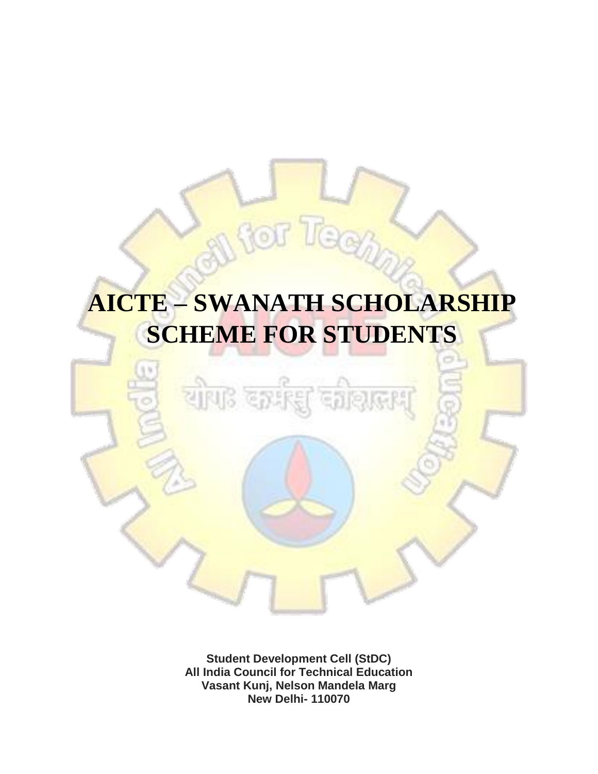# **AICTE – SWANATH SCHOLARSHIP SCHEME FOR STUDENTS**

 $500$ 

tor

<mark>यो</mark>ग3 द

**Student Development Cell (StDC) All India Council for Technical Education Vasant Kunj, Nelson Mandela Marg New Delhi- 110070**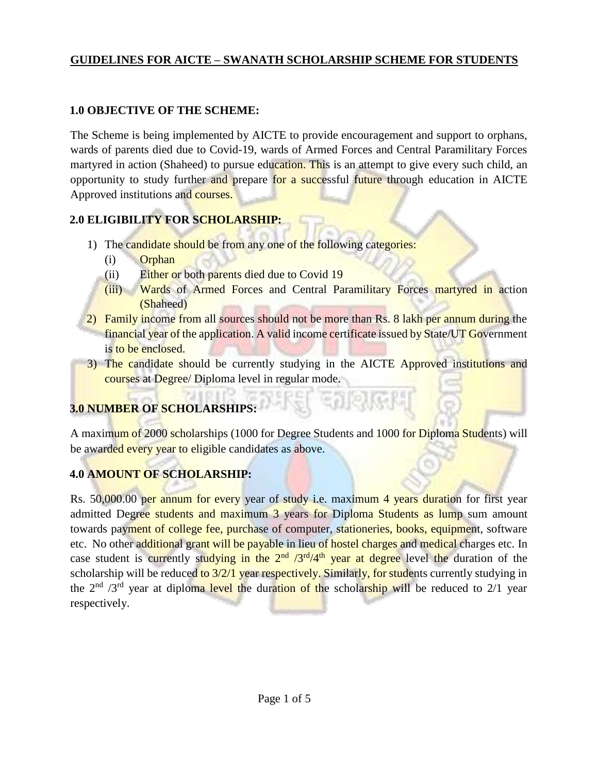#### **GUIDELINES FOR AICTE – SWANATH SCHOLARSHIP SCHEME FOR STUDENTS**

#### **1.0 OBJECTIVE OF THE SCHEME:**

The Scheme is being implemented by AICTE to provide encouragement and support to orphans, wards of parents died due to Covid-19, wards of Armed Forces and Central Paramilitary Forces martyred in action (Shaheed) to pursue education. This is an attempt to give every such child, an opportunity to study further and prepare for a successful future through education in AICTE Approved institutions and courses.

#### **2.0 ELIGIBILITY FOR SCHOLARSHIP:**

- 1) The candidate should be from any one of the following categories:
	- (i) Orphan
	- (ii) Either or both parents died due to Covid 19
	- (iii) Wards of Armed Forces and Central Paramilitary Forces martyred in action (Shaheed)
- 2) Family income from all sources should not be more than Rs. 8 lakh per annum during the financial year of the application. A valid income certificate issued by State/UT Government is to be enclosed.
- 3) The candidate should be currently studying in the AICTE Approved institutions and courses at Degree/ Diploma level in regular mode.

## **3.0 NUMBER OF SCHOLARSHIPS:**

A maximum of 2000 scholarships (1000 for Degree Students and 1000 for Diploma Students) will be awarded every year to eligible candidates as above.

#### **4.0 AMOUNT OF SCHOLARSHIP:**

Rs. 50,000.00 per annum for every year of study i.e. maximum 4 years duration for first year admitted Degree students and maximum 3 years for Diploma Students as lump sum amount towards payment of college fee, purchase of computer, stationeries, books, equipment, software etc. No other additional grant will be payable in lieu of hostel charges and medical charges etc. In case student is currently studying in the  $2<sup>nd</sup> / 3<sup>rd</sup> / 4<sup>th</sup>$  year at degree level the duration of the scholarship will be reduced to 3/2/1 year respectively. Similarly, for students currently studying in the  $2<sup>nd</sup>$  /3<sup>rd</sup> year at diploma level the duration of the scholarship will be reduced to 2/1 year respectively.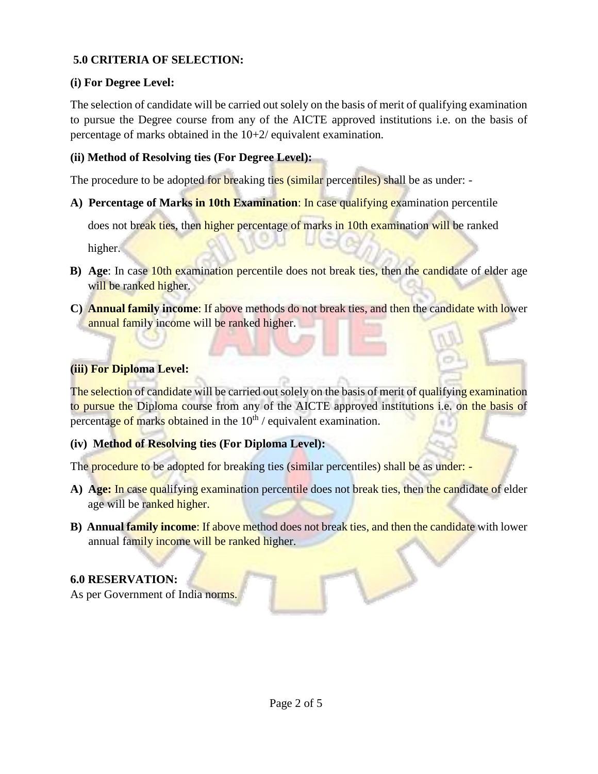#### **5.0 CRITERIA OF SELECTION:**

#### **(i) For Degree Level:**

The selection of candidate will be carried out solely on the basis of merit of qualifying examination to pursue the Degree course from any of the AICTE approved institutions i.e. on the basis of percentage of marks obtained in the 10+2/ equivalent examination.

#### **(ii) Method of Resolving ties (For Degree Level):**

The procedure to be adopted for **breaking ties** (similar percentiles) shall be as under: -

**A) Percentage of Marks in 10th Examination**: In case qualifying examination percentile

does not break ties, then higher percentage of marks in 10th examination will be ranked

higher.

- **B) Age**: In case 10th examination percentile does not break ties, then the candidate of elder age will be ranked higher.
- **C) Annual family income**: If above methods do not break ties, and then the candidate with lower annual family income will be ranked higher.

#### **(iii) For Diploma Level:**

The selection of candidate will be carried out solely on the basis of merit of qualifying examination to pursue the Diploma course from any of the AICTE approved institutions i.e. on the basis of percentage of marks obtained in the  $10<sup>th</sup>$  / equivalent examination.

#### **(iv) Method of Resolving ties (For Diploma Level):**

The procedure to be adopted for breaking ties (similar percentiles) shall be as under: -

- A) Age: In case qualifying examination percentile does not break ties, then the candidate of elder age will be ranked higher.
- **B)** Annual family income: If above method does not break ties, and then the candidate with lower annual family income will be ranked higher.

#### **6.0 RESERVATION:**

As per Government of India norms.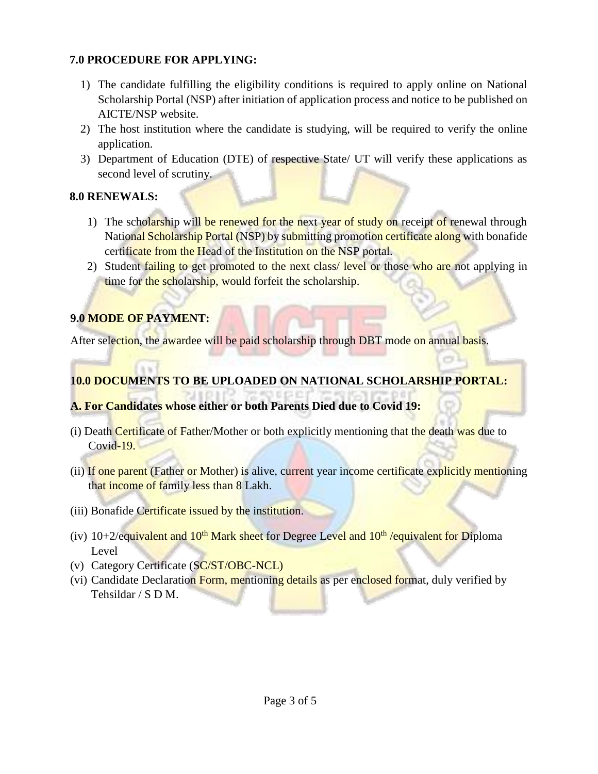#### **7.0 PROCEDURE FOR APPLYING:**

- 1) The candidate fulfilling the eligibility conditions is required to apply online on National Scholarship Portal (NSP) after initiation of application process and notice to be published on AICTE/NSP website.
- 2) The host institution where the candidate is studying, will be required to verify the online application.
- 3) Department of Education (DTE) of respective State/ UT will verify these applications as second level of scrutiny.

#### **8.0 RENEWALS:**

- 1) The scholarship will be renewed for the next year of study on receipt of renewal through National Scholarship Portal (NSP) by submitting promotion certificate along with bonafide certificate from the Head of the Institution on the NSP portal.
- 2) Student failing to get promoted to the next class/ level or those who are not applying in time for the scholarship, would forfeit the scholarship.

### **9.0 MODE OF PAYMENT:**

After selection, the awardee will be paid scholarship through DBT mode on annual basis.

#### **10.0 DOCUMENTS TO BE UPLOADED ON NATIONAL SCHOLARSHIP PORTAL:**

#### **A. For Candidates whose either or both Parents Died due to Covid 19:**

- (i) Death Certificate of Father/Mother or both explicitly mentioning that the death was due to Covid-19.
- (ii) If one parent (Father or Mother) is alive, current year income certificate explicitly mentioning that income of family less than 8 Lakh.
- (iii) Bonafide Certificate issued by the institution.
- (iv)  $10+2$ /equivalent and  $10<sup>th</sup>$  Mark sheet for Degree Level and  $10<sup>th</sup>$ /equivalent for Diploma Level
- (v) Category Certificate (SC/ST/OBC-NCL)
- (vi) Candidate Declaration Form, mentioning details as per enclosed format, duly verified by Tehsildar / S D M.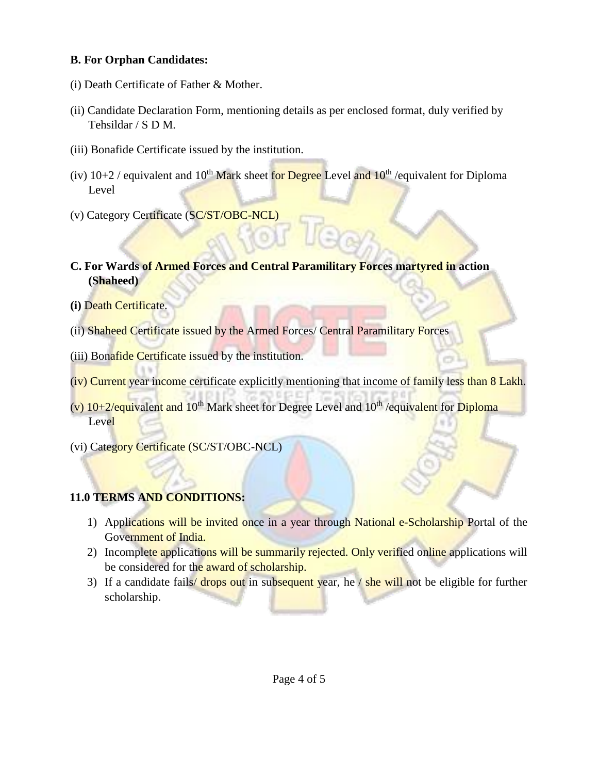#### **B. For Orphan Candidates:**

- (i) Death Certificate of Father & Mother.
- (ii) Candidate Declaration Form, mentioning details as per enclosed format, duly verified by Tehsildar / S D M.
- (iii) Bonafide Certificate issued by the institution.
- (iv)  $10+2$  / equivalent and  $10^{th}$  Mark sheet for Degree Level and  $10^{th}$  / equivalent for Diploma Level
- (v) Category Certificate (SC/ST/OBC-NCL)
- **C. For Wards of Armed Forces and Central Paramilitary Forces martyred in action (Shaheed)**
- **(i)** Death Certificate.
- (ii) Shaheed Certificate issued by the Armed Forces/ Central Paramilitary Forces
- (iii) Bonafide Certificate issued by the institution.
- (iv) Current year income certificate explicitly mentioning that income of family less than 8 Lakh.
- (v)  $10+2$ /equivalent and  $10<sup>th</sup>$  Mark sheet for Degree Level and  $10<sup>th</sup>$ /equivalent for Diploma Level
- (vi) Category Certificate (SC/ST/OBC-NCL)

#### **11.0 TERMS AND CONDITIONS:**

- 1) Applications will be invited once in a year through National e-Scholarship Portal of the Government of India.
- 2) Incomplete applications will be summarily rejected. Only verified online applications will be considered for the award of scholarship.
- 3) If a candidate fails/ drops out in subsequent year, he / she will not be eligible for further scholarship.